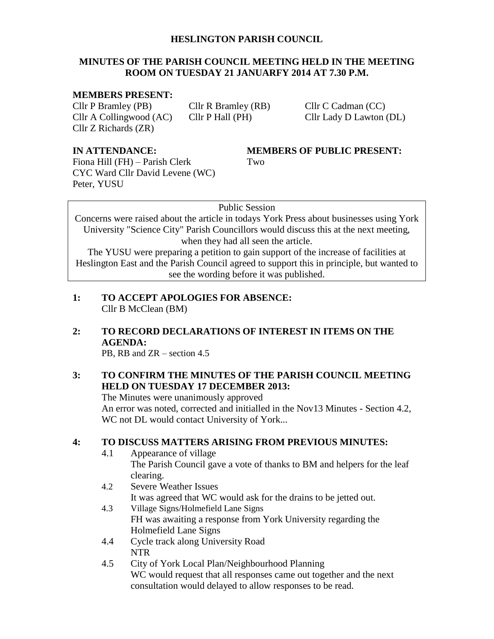#### **HESLINGTON PARISH COUNCIL**

#### **MINUTES OF THE PARISH COUNCIL MEETING HELD IN THE MEETING ROOM ON TUESDAY 21 JANUARFY 2014 AT 7.30 P.M.**

#### **MEMBERS PRESENT:**

Cllr P Bramley (PB) Cllr R Bramley (RB) Cllr C Cadman (CC) Cllr A Collingwood (AC) Cllr P Hall (PH) Cllr Lady D Lawton (DL) Cllr Z Richards (ZR)

Fiona Hill (FH) – Parish Clerk Two CYC Ward Cllr David Levene (WC) Peter, YUSU

#### **IN ATTENDANCE: MEMBERS OF PUBLIC PRESENT:**

#### Public Session

Concerns were raised about the article in todays York Press about businesses using York University "Science City" Parish Councillors would discuss this at the next meeting, when they had all seen the article.

The YUSU were preparing a petition to gain support of the increase of facilities at Heslington East and the Parish Council agreed to support this in principle, but wanted to see the wording before it was published.

- **1: TO ACCEPT APOLOGIES FOR ABSENCE:** Cllr B McClean (BM)
- **2: TO RECORD DECLARATIONS OF INTEREST IN ITEMS ON THE AGENDA:**

PB, RB and ZR – section 4.5

#### **3: TO CONFIRM THE MINUTES OF THE PARISH COUNCIL MEETING HELD ON TUESDAY 17 DECEMBER 2013:**

The Minutes were unanimously approved An error was noted, corrected and initialled in the Nov13 Minutes - Section 4.2, WC not DL would contact University of York...

#### **4: TO DISCUSS MATTERS ARISING FROM PREVIOUS MINUTES:**

- 4.1 Appearance of village The Parish Council gave a vote of thanks to BM and helpers for the leaf clearing.
- 4.2 Severe Weather Issues It was agreed that WC would ask for the drains to be jetted out.
- 4.3 Village Signs/Holmefield Lane Signs FH was awaiting a response from York University regarding the Holmefield Lane Signs
- 4.4 Cycle track along University Road NTR
- 4.5 City of York Local Plan/Neighbourhood Planning WC would request that all responses came out together and the next consultation would delayed to allow responses to be read.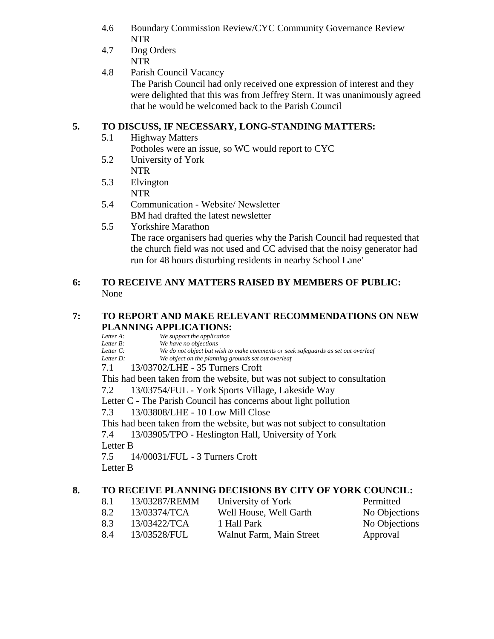- 4.6 Boundary Commission Review/CYC Community Governance Review NTR
- 4.7 Dog Orders
- NTR
- 4.8 Parish Council Vacancy The Parish Council had only received one expression of interest and they were delighted that this was from Jeffrey Stern. It was unanimously agreed that he would be welcomed back to the Parish Council

## **5. TO DISCUSS, IF NECESSARY, LONG-STANDING MATTERS:**

5.1 Highway Matters

Potholes were an issue, so WC would report to CYC

- 5.2 University of York NTR
- 5.3 Elvington NTR
- 5.4 Communication Website/ Newsletter BM had drafted the latest newsletter
- 5.5 Yorkshire Marathon The race organisers had queries why the Parish Council had requested that the church field was not used and CC advised that the noisy generator had run for 48 hours disturbing residents in nearby School Lane'

### **6: TO RECEIVE ANY MATTERS RAISED BY MEMBERS OF PUBLIC:** None

## **7: TO REPORT AND MAKE RELEVANT RECOMMENDATIONS ON NEW PLANNING APPLICATIONS:**

*Letter A: We support the application*<br>*Letter B: We have no objections* 

*Letter B: We have no objections*

*Letter C: We do not object but wish to make comments or seek safeguards as set out overleaf*

- We object on the planning grounds set out overleaf
- 7.1 13/03702/LHE 35 Turners Croft

This had been taken from the website, but was not subject to consultation

7.2 13/03754/FUL - York Sports Village, Lakeside Way

Letter C - The Parish Council has concerns about light pollution

7.3 13/03808/LHE - 10 Low Mill Close

This had been taken from the website, but was not subject to consultation

7.4 13/03905/TPO - Heslington Hall, University of York

Letter B

7.5 14/00031/FUL - 3 Turners Croft

Letter B

# **8. TO RECEIVE PLANNING DECISIONS BY CITY OF YORK COUNCIL:**

8.1 13/03287/REMM University of York Permitted 8.2 13/03374/TCA Well House, Well Garth No Objections 8.3 13/03422/TCA 1 Hall Park No Objections 8.4 13/03528/FUL Walnut Farm, Main Street Approval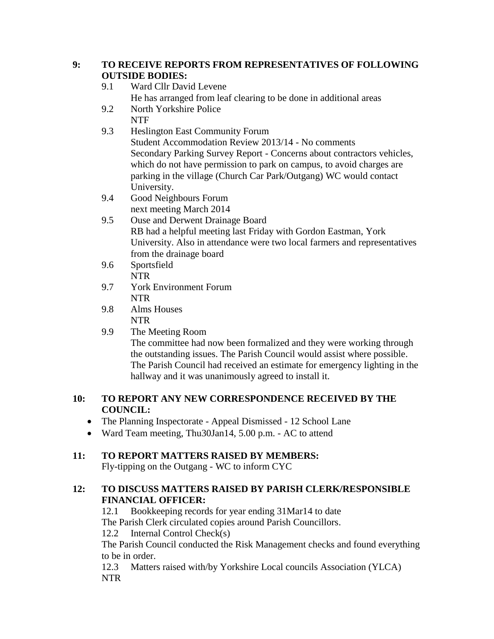#### **9: TO RECEIVE REPORTS FROM REPRESENTATIVES OF FOLLOWING OUTSIDE BODIES:**

- 9.1 Ward Cllr David Levene He has arranged from leaf clearing to be done in additional areas
- 9.2 North Yorkshire Police NTF
- 9.3 Heslington East Community Forum Student Accommodation Review 2013/14 - No comments Secondary Parking Survey Report - Concerns about contractors vehicles, which do not have permission to park on campus, to avoid charges are parking in the village (Church Car Park/Outgang) WC would contact University.
- 9.4 Good Neighbours Forum next meeting March 2014
- 9.5 Ouse and Derwent Drainage Board RB had a helpful meeting last Friday with Gordon Eastman, York University. Also in attendance were two local farmers and representatives from the drainage board
- 9.6 Sportsfield NTR
- 9.7 York Environment Forum NTR
- 9.8 Alms Houses NTR
- 9.9 The Meeting Room The committee had now been formalized and they were working through the outstanding issues. The Parish Council would assist where possible. The Parish Council had received an estimate for emergency lighting in the hallway and it was unanimously agreed to install it.

#### **10: TO REPORT ANY NEW CORRESPONDENCE RECEIVED BY THE COUNCIL:**

- The Planning Inspectorate Appeal Dismissed 12 School Lane
- Ward Team meeting, Thu30Jan14, 5.00 p.m. AC to attend

# **11: TO REPORT MATTERS RAISED BY MEMBERS:**

Fly-tipping on the Outgang - WC to inform CYC

## **12: TO DISCUSS MATTERS RAISED BY PARISH CLERK/RESPONSIBLE FINANCIAL OFFICER:**

12.1 Bookkeeping records for year ending 31Mar14 to date The Parish Clerk circulated copies around Parish Councillors.

12.2 Internal Control Check(s)

The Parish Council conducted the Risk Management checks and found everything to be in order.

12.3 Matters raised with/by Yorkshire Local councils Association (YLCA) NTR